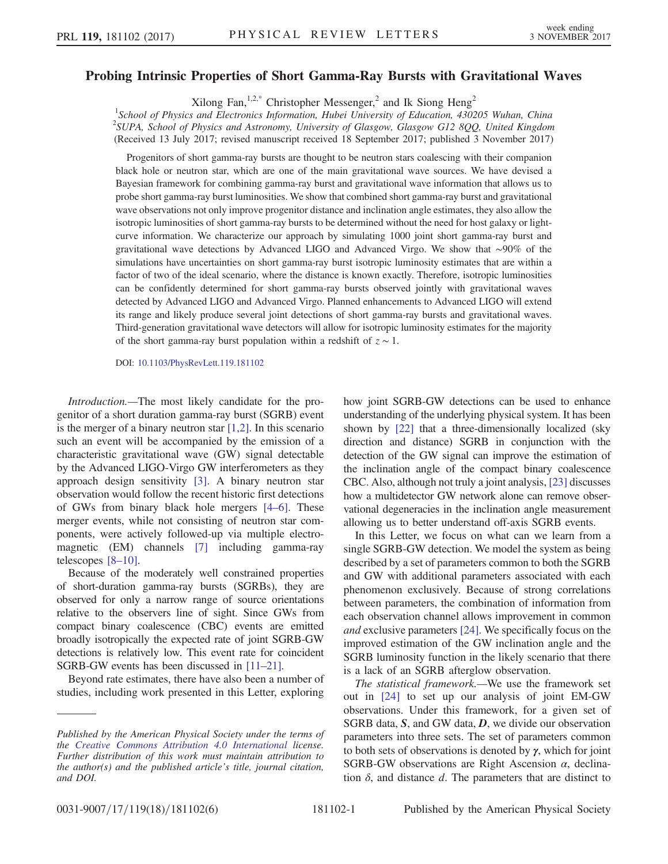## <span id="page-0-0"></span>Probing Intrinsic Properties of Short Gamma-Ray Bursts with Gravitational Waves

Xilong Fan,  $1.2$ ,\* Christopher Messenger,<sup>2</sup> and Ik Siong Heng<sup>2</sup>

<sup>1</sup>School of Physics and Electronics Information, Hubei University of Education, 430205 Wuhan, China  $2$ SUPA, School of Physics and Astronomy, University of Glasgow, Glasgow G12 8QQ, United Kingdom (Received 13 July 2017; revised manuscript received 18 September 2017; published 3 November 2017)

Progenitors of short gamma-ray bursts are thought to be neutron stars coalescing with their companion black hole or neutron star, which are one of the main gravitational wave sources. We have devised a Bayesian framework for combining gamma-ray burst and gravitational wave information that allows us to probe short gamma-ray burst luminosities. We show that combined short gamma-ray burst and gravitational wave observations not only improve progenitor distance and inclination angle estimates, they also allow the isotropic luminosities of short gamma-ray bursts to be determined without the need for host galaxy or lightcurve information. We characterize our approach by simulating 1000 joint short gamma-ray burst and gravitational wave detections by Advanced LIGO and Advanced Virgo. We show that ∼90% of the simulations have uncertainties on short gamma-ray burst isotropic luminosity estimates that are within a factor of two of the ideal scenario, where the distance is known exactly. Therefore, isotropic luminosities can be confidently determined for short gamma-ray bursts observed jointly with gravitational waves detected by Advanced LIGO and Advanced Virgo. Planned enhancements to Advanced LIGO will extend its range and likely produce several joint detections of short gamma-ray bursts and gravitational waves. Third-generation gravitational wave detectors will allow for isotropic luminosity estimates for the majority of the short gamma-ray burst population within a redshift of  $z \sim 1$ .

DOI: [10.1103/PhysRevLett.119.181102](https://doi.org/10.1103/PhysRevLett.119.181102)

Introduction.—The most likely candidate for the progenitor of a short duration gamma-ray burst (SGRB) event is the merger of a binary neutron star  $[1,2]$ . In this scenario such an event will be accompanied by the emission of a characteristic gravitational wave (GW) signal detectable by the Advanced LIGO-Virgo GW interferometers as they approach design sensitivity [\[3\].](#page-4-2) A binary neutron star observation would follow the recent historic first detections of GWs from binary black hole mergers [4–[6\]](#page-4-3). These merger events, while not consisting of neutron star components, were actively followed-up via multiple electromagnetic (EM) channels [\[7\]](#page-4-4) including gamma-ray telescopes [8–[10\].](#page-4-5)

Because of the moderately well constrained properties of short-duration gamma-ray bursts (SGRBs), they are observed for only a narrow range of source orientations relative to the observers line of sight. Since GWs from compact binary coalescence (CBC) events are emitted broadly isotropically the expected rate of joint SGRB-GW detections is relatively low. This event rate for coincident SGRB-GW events has been discussed in [11–[21\].](#page-4-6)

Beyond rate estimates, there have also been a number of studies, including work presented in this Letter, exploring how joint SGRB-GW detections can be used to enhance understanding of the underlying physical system. It has been shown by [\[22\]](#page-5-0) that a three-dimensionally localized (sky direction and distance) SGRB in conjunction with the detection of the GW signal can improve the estimation of the inclination angle of the compact binary coalescence CBC. Also, although not truly a joint analysis, [\[23\]](#page-5-1) discusses how a multidetector GW network alone can remove observational degeneracies in the inclination angle measurement allowing us to better understand off-axis SGRB events.

In this Letter, we focus on what can we learn from a single SGRB-GW detection. We model the system as being described by a set of parameters common to both the SGRB and GW with additional parameters associated with each phenomenon exclusively. Because of strong correlations between parameters, the combination of information from each observation channel allows improvement in common and exclusive parameters [\[24\]](#page-5-2). We specifically focus on the improved estimation of the GW inclination angle and the SGRB luminosity function in the likely scenario that there is a lack of an SGRB afterglow observation.

The statistical framework.—We use the framework set out in [\[24\]](#page-5-2) to set up our analysis of joint EM-GW observations. Under this framework, for a given set of SGRB data, S, and GW data, D, we divide our observation parameters into three sets. The set of parameters common to both sets of observations is denoted by  $\gamma$ , which for joint SGRB-GW observations are Right Ascension  $\alpha$ , declination  $\delta$ , and distance d. The parameters that are distinct to

Published by the American Physical Society under the terms of the [Creative Commons Attribution 4.0 International](https://creativecommons.org/licenses/by/4.0/) license. Further distribution of this work must maintain attribution to the author(s) and the published article's title, journal citation, and DOI.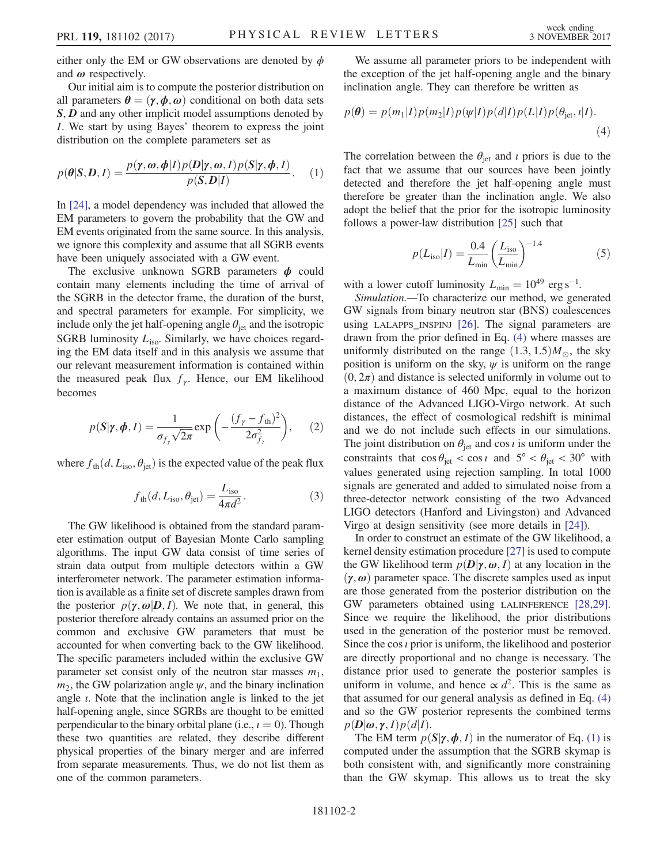either only the EM or GW observations are denoted by  $\phi$ and  $\omega$  respectively.

Our initial aim is to compute the posterior distribution on all parameters  $\theta = (\gamma, \phi, \omega)$  conditional on both data sets S, **D** and any other implicit model assumptions denoted by I. We start by using Bayes' theorem to express the joint distribution on the complete parameters set as

<span id="page-1-1"></span>
$$
p(\theta|S,D,I) = \frac{p(\gamma,\omega,\phi|I)p(D|\gamma,\omega,I)p(S|\gamma,\phi,I)}{p(S,D|I)}.
$$
 (1)

In [\[24\]](#page-5-2), a model dependency was included that allowed the EM parameters to govern the probability that the GW and EM events originated from the same source. In this analysis, we ignore this complexity and assume that all SGRB events have been uniquely associated with a GW event.

The exclusive unknown SGRB parameters  $\phi$  could contain many elements including the time of arrival of the SGRB in the detector frame, the duration of the burst, and spectral parameters for example. For simplicity, we include only the jet half-opening angle  $\theta_{jet}$  and the isotropic SGRB luminosity  $L_{iso}$ . Similarly, we have choices regarding the EM data itself and in this analysis we assume that our relevant measurement information is contained within the measured peak flux  $f_{\gamma}$ . Hence, our EM likelihood becomes

<span id="page-1-3"></span>
$$
p(S|\gamma, \phi, I) = \frac{1}{\sigma_{f_\gamma} \sqrt{2\pi}} \exp\left(-\frac{(f_\gamma - f_{\text{th}})^2}{2\sigma_{f_\gamma}^2}\right), \quad (2)
$$

<span id="page-1-4"></span>where  $f_{th}(d, L_{iso}, \theta_{\text{iet}})$  is the expected value of the peak flux

$$
f_{\text{th}}(d, L_{\text{iso}}, \theta_{\text{jet}}) = \frac{L_{\text{iso}}}{4\pi d^2}.
$$
 (3)

The GW likelihood is obtained from the standard parameter estimation output of Bayesian Monte Carlo sampling algorithms. The input GW data consist of time series of strain data output from multiple detectors within a GW interferometer network. The parameter estimation information is available as a finite set of discrete samples drawn from the posterior  $p(\gamma, \omega | D, I)$ . We note that, in general, this posterior therefore already contains an assumed prior on the common and exclusive GW parameters that must be accounted for when converting back to the GW likelihood. The specific parameters included within the exclusive GW parameter set consist only of the neutron star masses  $m_1$ ,  $m<sub>2</sub>$ , the GW polarization angle  $\psi$ , and the binary inclination angle  $\iota$ . Note that the inclination angle is linked to the jet half-opening angle, since SGRBs are thought to be emitted perpendicular to the binary orbital plane (i.e.,  $i = 0$ ). Though these two quantities are related, they describe different physical properties of the binary merger and are inferred from separate measurements. Thus, we do not list them as one of the common parameters.

<span id="page-1-0"></span>We assume all parameter priors to be independent with the exception of the jet half-opening angle and the binary inclination angle. They can therefore be written as

$$
p(\theta) = p(m_1|I)p(m_2|I)p(\psi|I)p(d|I)p(L|I)p(\theta_{\text{jet}},l|I).
$$
\n(4)

<span id="page-1-2"></span>The correlation between the  $\theta_{\text{jet}}$  and *i* priors is due to the fact that we assume that our sources have been jointly detected and therefore the jet half-opening angle must therefore be greater than the inclination angle. We also adopt the belief that the prior for the isotropic luminosity follows a power-law distribution [\[25\]](#page-5-3) such that

$$
p(L_{\rm iso}|I) = \frac{0.4}{L_{\rm min}} \left(\frac{L_{\rm iso}}{L_{\rm min}}\right)^{-1.4}
$$
 (5)

with a lower cutoff luminosity  $L_{\text{min}} = 10^{49} \text{ erg s}^{-1}$ .

Simulation.—To characterize our method, we generated GW signals from binary neutron star (BNS) coalescences using LALAPPS\_INSPINJ [\[26\].](#page-5-4) The signal parameters are drawn from the prior defined in Eq. [\(4\)](#page-1-0) where masses are uniformly distributed on the range  $(1.3, 1.5)M_{\odot}$ , the sky position is uniform on the sky,  $\psi$  is uniform on the range  $(0, 2\pi)$  and distance is selected uniformly in volume out to a maximum distance of 460 Mpc, equal to the horizon distance of the Advanced LIGO-Virgo network. At such distances, the effect of cosmological redshift is minimal and we do not include such effects in our simulations. The joint distribution on  $\theta_{\text{jet}}$  and cos *i* is uniform under the constraints that  $\cos \theta_{\text{jet}} < \cos \theta_{\text{1}}$  and  $5^{\circ} < \theta_{\text{jet}} < 30^{\circ}$  with values generated using rejection sampling. In total 1000 signals are generated and added to simulated noise from a three-detector network consisting of the two Advanced LIGO detectors (Hanford and Livingston) and Advanced Virgo at design sensitivity (see more details in [\[24\]](#page-5-2)).

In order to construct an estimate of the GW likelihood, a kernel density estimation procedure [\[27\]](#page-5-5) is used to compute the GW likelihood term  $p(\mathbf{D}|\boldsymbol{\gamma}, \boldsymbol{\omega}, I)$  at any location in the  $(\gamma, \omega)$  parameter space. The discrete samples used as input are those generated from the posterior distribution on the GW parameters obtained using LALINFERENCE [\[28,29\]](#page-5-6). Since we require the likelihood, the prior distributions used in the generation of the posterior must be removed. Since the cos  $\iota$  prior is uniform, the likelihood and posterior are directly proportional and no change is necessary. The distance prior used to generate the posterior samples is uniform in volume, and hence  $\propto d^2$ . This is the same as that assumed for our general analysis as defined in Eq. [\(4\)](#page-1-0) and so the GW posterior represents the combined terms  $p(\mathbf{D}|\boldsymbol{\omega}, \boldsymbol{\gamma}, I) p(d|I).$ 

The EM term  $p(S|\gamma, \phi, I)$  in the numerator of Eq. [\(1\)](#page-1-1) is computed under the assumption that the SGRB skymap is both consistent with, and significantly more constraining than the GW skymap. This allows us to treat the sky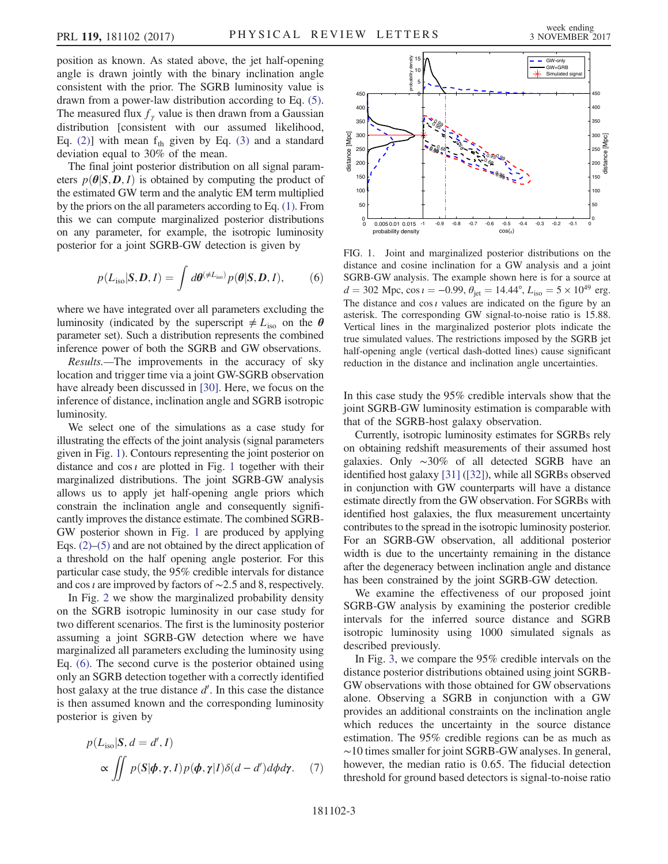position as known. As stated above, the jet half-opening angle is drawn jointly with the binary inclination angle consistent with the prior. The SGRB luminosity value is drawn from a power-law distribution according to Eq. [\(5\)](#page-1-2). The measured flux  $f_\gamma$  value is then drawn from a Gaussian distribution [consistent with our assumed likelihood, Eq. [\(2\)\]](#page-1-3) with mean  $f_{th}$  given by Eq. [\(3\)](#page-1-4) and a standard deviation equal to 30% of the mean.

The final joint posterior distribution on all signal parameters  $p(\theta|S, D, I)$  is obtained by computing the product of the estimated GW term and the analytic EM term multiplied by the priors on the all parameters according to Eq. [\(1\)](#page-1-1). From this we can compute marginalized posterior distributions on any parameter, for example, the isotropic luminosity posterior for a joint SGRB-GW detection is given by

<span id="page-2-1"></span>
$$
p(L_{\text{iso}}|S,D,I) = \int d\theta^{(\neq L_{\text{iso}})} p(\theta|S,D,I), \quad (6)
$$

where we have integrated over all parameters excluding the luminosity (indicated by the superscript  $\neq L_{\text{iso}}$  on the  $\theta$ parameter set). Such a distribution represents the combined inference power of both the SGRB and GW observations.

Results.—The improvements in the accuracy of sky location and trigger time via a joint GW-SGRB observation have already been discussed in [\[30\]](#page-5-7). Here, we focus on the inference of distance, inclination angle and SGRB isotropic luminosity.

We select one of the simulations as a case study for illustrating the effects of the joint analysis (signal parameters given in Fig. [1](#page-2-0)). Contours representing the joint posterior on distance and  $\cos i$  are plotted in Fig. [1](#page-2-0) together with their marginalized distributions. The joint SGRB-GW analysis allows us to apply jet half-opening angle priors which constrain the inclination angle and consequently significantly improves the distance estimate. The combined SGRB-GW posterior shown in Fig. [1](#page-2-0) are produced by applying Eqs. [\(2\)](#page-1-3)–[\(5\)](#page-1-2) and are not obtained by the direct application of a threshold on the half opening angle posterior. For this particular case study, the 95% credible intervals for distance and cos *i* are improved by factors of ~2.5 and 8, respectively.

In Fig. [2](#page-3-0) we show the marginalized probability density on the SGRB isotropic luminosity in our case study for two different scenarios. The first is the luminosity posterior assuming a joint SGRB-GW detection where we have marginalized all parameters excluding the luminosity using Eq. [\(6\).](#page-2-1) The second curve is the posterior obtained using only an SGRB detection together with a correctly identified host galaxy at the true distance  $d'$ . In this case the distance is then assumed known and the corresponding luminosity posterior is given by

$$
p(L_{\text{iso}}|S, d = d', I)
$$
  
 
$$
\propto \iint p(S|\phi, \gamma, I) p(\phi, \gamma | I) \delta(d - d') d\phi d\gamma.
$$
 (7)

<span id="page-2-0"></span>

FIG. 1. Joint and marginalized posterior distributions on the distance and cosine inclination for a GW analysis and a joint SGRB-GW analysis. The example shown here is for a source at  $d = 302$  Mpc,  $\cos i = -0.99$ ,  $\theta_{\text{jet}} = 14.44^{\circ}$ ,  $L_{\text{iso}} = 5 \times 10^{49}$  erg. The distance and  $\cos i$  values are indicated on the figure by an asterisk. The corresponding GW signal-to-noise ratio is 15.88. Vertical lines in the marginalized posterior plots indicate the true simulated values. The restrictions imposed by the SGRB jet half-opening angle (vertical dash-dotted lines) cause significant reduction in the distance and inclination angle uncertainties.

In this case study the 95% credible intervals show that the joint SGRB-GW luminosity estimation is comparable with that of the SGRB-host galaxy observation.

Currently, isotropic luminosity estimates for SGRBs rely on obtaining redshift measurements of their assumed host galaxies. Only ∼30% of all detected SGRB have an identified host galaxy [\[31\]](#page-5-8) ([\[32\]](#page-5-9)), while all SGRBs observed in conjunction with GW counterparts will have a distance estimate directly from the GW observation. For SGRBs with identified host galaxies, the flux measurement uncertainty contributes to the spread in the isotropic luminosity posterior. For an SGRB-GW observation, all additional posterior width is due to the uncertainty remaining in the distance after the degeneracy between inclination angle and distance has been constrained by the joint SGRB-GW detection.

We examine the effectiveness of our proposed joint SGRB-GW analysis by examining the posterior credible intervals for the inferred source distance and SGRB isotropic luminosity using 1000 simulated signals as described previously.

In Fig. [3,](#page-3-1) we compare the 95% credible intervals on the distance posterior distributions obtained using joint SGRB-GW observations with those obtained for GW observations alone. Observing a SGRB in conjunction with a GW provides an additional constraints on the inclination angle which reduces the uncertainty in the source distance estimation. The 95% credible regions can be as much as ∼10 times smaller for joint SGRB-GW analyses. In general, however, the median ratio is 0.65. The fiducial detection threshold for ground based detectors is signal-to-noise ratio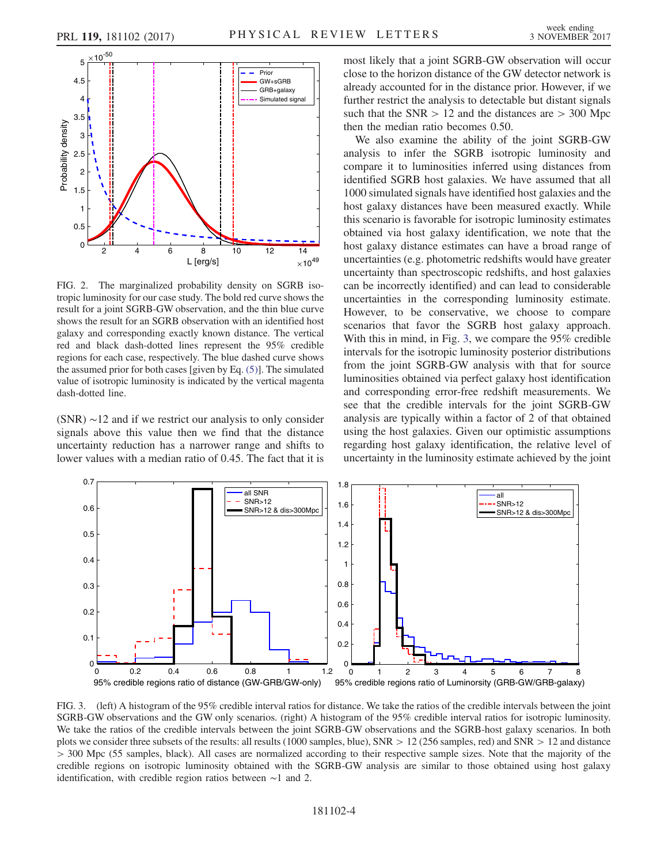<span id="page-3-0"></span>

FIG. 2. The marginalized probability density on SGRB isotropic luminosity for our case study. The bold red curve shows the result for a joint SGRB-GW observation, and the thin blue curve shows the result for an SGRB observation with an identified host galaxy and corresponding exactly known distance. The vertical red and black dash-dotted lines represent the 95% credible regions for each case, respectively. The blue dashed curve shows the assumed prior for both cases [given by Eq. [\(5\)](#page-1-2)]. The simulated value of isotropic luminosity is indicated by the vertical magenta dash-dotted line.

(SNR) ∼12 and if we restrict our analysis to only consider signals above this value then we find that the distance uncertainty reduction has a narrower range and shifts to lower values with a median ratio of 0.45. The fact that it is most likely that a joint SGRB-GW observation will occur close to the horizon distance of the GW detector network is already accounted for in the distance prior. However, if we further restrict the analysis to detectable but distant signals such that the  $SNR > 12$  and the distances are  $> 300$  Mpc then the median ratio becomes 0.50.

We also examine the ability of the joint SGRB-GW analysis to infer the SGRB isotropic luminosity and compare it to luminosities inferred using distances from identified SGRB host galaxies. We have assumed that all 1000 simulated signals have identified host galaxies and the host galaxy distances have been measured exactly. While this scenario is favorable for isotropic luminosity estimates obtained via host galaxy identification, we note that the host galaxy distance estimates can have a broad range of uncertainties (e.g. photometric redshifts would have greater uncertainty than spectroscopic redshifts, and host galaxies can be incorrectly identified) and can lead to considerable uncertainties in the corresponding luminosity estimate. However, to be conservative, we choose to compare scenarios that favor the SGRB host galaxy approach. With this in mind, in Fig. [3,](#page-3-1) we compare the 95% credible intervals for the isotropic luminosity posterior distributions from the joint SGRB-GW analysis with that for source luminosities obtained via perfect galaxy host identification and corresponding error-free redshift measurements. We see that the credible intervals for the joint SGRB-GW analysis are typically within a factor of 2 of that obtained using the host galaxies. Given our optimistic assumptions regarding host galaxy identification, the relative level of uncertainty in the luminosity estimate achieved by the joint

<span id="page-3-1"></span>

FIG. 3. (left) A histogram of the 95% credible interval ratios for distance. We take the ratios of the credible intervals between the joint SGRB-GW observations and the GW only scenarios. (right) A histogram of the 95% credible interval ratios for isotropic luminosity. We take the ratios of the credible intervals between the joint SGRB-GW observations and the SGRB-host galaxy scenarios. In both plots we consider three subsets of the results: all results (1000 samples, blue), SNR > 12 (256 samples, red) and SNR > 12 and distance > 300 Mpc (55 samples, black). All cases are normalized according to their respective sample sizes. Note that the majority of the credible regions on isotropic luminosity obtained with the SGRB-GW analysis are similar to those obtained using host galaxy identification, with credible region ratios between ∼1 and 2.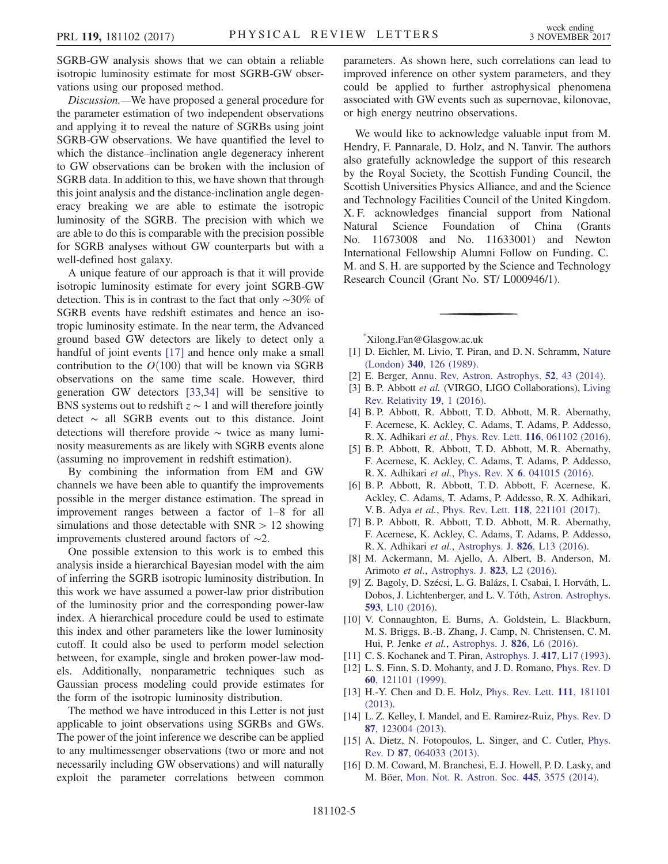SGRB-GW analysis shows that we can obtain a reliable isotropic luminosity estimate for most SGRB-GW observations using our proposed method.

Discussion.—We have proposed a general procedure for the parameter estimation of two independent observations and applying it to reveal the nature of SGRBs using joint SGRB-GW observations. We have quantified the level to which the distance–inclination angle degeneracy inherent to GW observations can be broken with the inclusion of SGRB data. In addition to this, we have shown that through this joint analysis and the distance-inclination angle degeneracy breaking we are able to estimate the isotropic luminosity of the SGRB. The precision with which we are able to do this is comparable with the precision possible for SGRB analyses without GW counterparts but with a well-defined host galaxy.

A unique feature of our approach is that it will provide isotropic luminosity estimate for every joint SGRB-GW detection. This is in contrast to the fact that only ∼30% of SGRB events have redshift estimates and hence an isotropic luminosity estimate. In the near term, the Advanced ground based GW detectors are likely to detect only a handful of joint events [\[17\]](#page-5-10) and hence only make a small contribution to the  $O(100)$  that will be known via SGRB observations on the same time scale. However, third generation GW detectors [\[33,34\]](#page-5-11) will be sensitive to BNS systems out to redshift  $z \sim 1$  and will therefore jointly detect ∼ all SGRB events out to this distance. Joint detections will therefore provide ∼ twice as many luminosity measurements as are likely with SGRB events alone (assuming no improvement in redshift estimation).

By combining the information from EM and GW channels we have been able to quantify the improvements possible in the merger distance estimation. The spread in improvement ranges between a factor of 1–8 for all simulations and those detectable with  $SNR > 12$  showing improvements clustered around factors of ∼2.

One possible extension to this work is to embed this analysis inside a hierarchical Bayesian model with the aim of inferring the SGRB isotropic luminosity distribution. In this work we have assumed a power-law prior distribution of the luminosity prior and the corresponding power-law index. A hierarchical procedure could be used to estimate this index and other parameters like the lower luminosity cutoff. It could also be used to perform model selection between, for example, single and broken power-law models. Additionally, nonparametric techniques such as Gaussian process modeling could provide estimates for the form of the isotropic luminosity distribution.

The method we have introduced in this Letter is not just applicable to joint observations using SGRBs and GWs. The power of the joint inference we describe can be applied to any multimessenger observations (two or more and not necessarily including GW observations) and will naturally exploit the parameter correlations between common parameters. As shown here, such correlations can lead to improved inference on other system parameters, and they could be applied to further astrophysical phenomena associated with GW events such as supernovae, kilonovae, or high energy neutrino observations.

We would like to acknowledge valuable input from M. Hendry, F. Pannarale, D. Holz, and N. Tanvir. The authors also gratefully acknowledge the support of this research by the Royal Society, the Scottish Funding Council, the Scottish Universities Physics Alliance, and and the Science and Technology Facilities Council of the United Kingdom. X. F. acknowledges financial support from National Natural Science Foundation of China (Grants No. 11673008 and No. 11633001) and Newton International Fellowship Alumni Follow on Funding. C. M. and S. H. are supported by the Science and Technology Research Council (Grant No. ST/ L000946/1).

<span id="page-4-1"></span><span id="page-4-0"></span>[\\*](#page-0-0) Xilong.Fan@Glasgow.ac.uk

- [1] D. Eichler, M. Livio, T. Piran, and D. N. Schramm, [Nature](https://doi.org/10.1038/340126a0) (London) 340[, 126 \(1989\)](https://doi.org/10.1038/340126a0).
- <span id="page-4-2"></span>[2] E. Berger, [Annu. Rev. Astron. Astrophys.](https://doi.org/10.1146/annurev-astro-081913-035926) 52, 43 (2014).
- <span id="page-4-3"></span>[3] B. P. Abbott et al. (VIRGO, LIGO Collaborations), [Living](https://doi.org/10.1007/lrr-2016-1) [Rev. Relativity](https://doi.org/10.1007/lrr-2016-1) 19, 1 (2016).
- [4] B. P. Abbott, R. Abbott, T. D. Abbott, M. R. Abernathy, F. Acernese, K. Ackley, C. Adams, T. Adams, P. Addesso, R. X. Adhikari et al., Phys. Rev. Lett. 116[, 061102 \(2016\).](https://doi.org/10.1103/PhysRevLett.116.061102)
- [5] B. P. Abbott, R. Abbott, T. D. Abbott, M. R. Abernathy, F. Acernese, K. Ackley, C. Adams, T. Adams, P. Addesso, R. X. Adhikari et al., Phys. Rev. X 6[. 041015 \(2016\)](https://doi.org/10.1103/PhysRevX.6.041015).
- <span id="page-4-4"></span>[6] B. P. Abbott, R. Abbott, T. D. Abbott, F. Acernese, K. Ackley, C. Adams, T. Adams, P. Addesso, R. X. Adhikari, V. B. Adya et al., Phys. Rev. Lett. 118[, 221101 \(2017\)](https://doi.org/10.1103/PhysRevLett.118.221101).
- <span id="page-4-5"></span>[7] B. P. Abbott, R. Abbott, T. D. Abbott, M. R. Abernathy, F. Acernese, K. Ackley, C. Adams, T. Adams, P. Addesso, R. X. Adhikari et al., [Astrophys. J.](https://doi.org/10.3847/2041-8205/826/1/L13) 826, L13 (2016).
- [8] M. Ackermann, M. Ajello, A. Albert, B. Anderson, M. Arimoto et al., [Astrophys. J.](https://doi.org/10.3847/2041-8205/823/1/L2) 823, L2 (2016).
- [9] Z. Bagoly, D. Szécsi, L. G. Balázs, I. Csabai, I. Horváth, L. Dobos, J. Lichtenberger, and L. V. Tóth, [Astron. Astrophys.](https://doi.org/10.1051/0004-6361/201628569) 593[, L10 \(2016\)](https://doi.org/10.1051/0004-6361/201628569).
- <span id="page-4-6"></span>[10] V. Connaughton, E. Burns, A. Goldstein, L. Blackburn, M. S. Briggs, B.-B. Zhang, J. Camp, N. Christensen, C. M. Hui, P. Jenke et al., [Astrophys. J.](https://doi.org/10.3847/2041-8205/826/1/L6) 826, L6 (2016).
- [11] C. S. Kochanek and T. Piran, [Astrophys. J.](https://doi.org/10.1086/187083) 417, L17 (1993).
- [12] L. S. Finn, S. D. Mohanty, and J. D. Romano, [Phys. Rev. D](https://doi.org/10.1103/PhysRevD.60.121101) 60[, 121101 \(1999\).](https://doi.org/10.1103/PhysRevD.60.121101)
- [13] H.-Y. Chen and D. E. Holz, [Phys. Rev. Lett.](https://doi.org/10.1103/PhysRevLett.111.181101) 111, 181101 [\(2013\).](https://doi.org/10.1103/PhysRevLett.111.181101)
- [14] L. Z. Kelley, I. Mandel, and E. Ramirez-Ruiz, [Phys. Rev. D](https://doi.org/10.1103/PhysRevD.87.123004) 87[, 123004 \(2013\).](https://doi.org/10.1103/PhysRevD.87.123004)
- [15] A. Dietz, N. Fotopoulos, L. Singer, and C. Cutler, [Phys.](https://doi.org/10.1103/PhysRevD.87.064033) Rev. D 87[, 064033 \(2013\)](https://doi.org/10.1103/PhysRevD.87.064033).
- [16] D. M. Coward, M. Branchesi, E. J. Howell, P. D. Lasky, and M. Böer, [Mon. Not. R. Astron. Soc.](https://doi.org/10.1093/mnras/stu1863) 445, 3575 (2014).